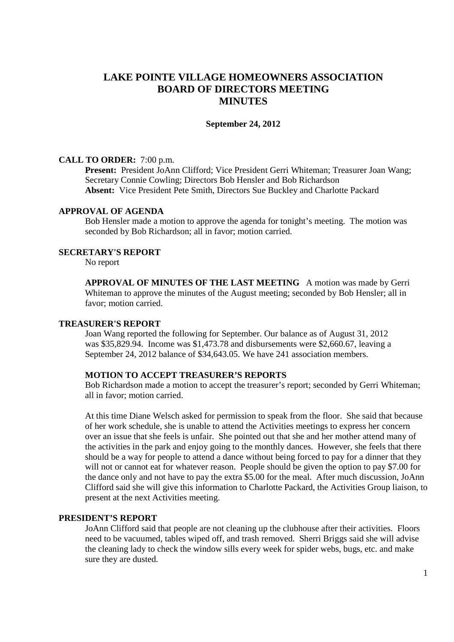# **LAKE POINTE VILLAGE HOMEOWNERS ASSOCIATION BOARD OF DIRECTORS MEETING MINUTES**

#### **September 24, 2012**

# **CALL TO ORDER:** 7:00 p.m.

**Present:** President JoAnn Clifford; Vice President Gerri Whiteman; Treasurer Joan Wang; Secretary Connie Cowling; Directors Bob Hensler and Bob Richardson **Absent:** Vice President Pete Smith, Directors Sue Buckley and Charlotte Packard

## **APPROVAL OF AGENDA**

 Bob Hensler made a motion to approve the agenda for tonight's meeting. The motion was seconded by Bob Richardson; all in favor; motion carried.

#### **SECRETARY'S REPORT**

No report

**APPROVAL OF MINUTES OF THE LAST MEETING** A motion was made by Gerri Whiteman to approve the minutes of the August meeting; seconded by Bob Hensler; all in favor; motion carried.

# **TREASURER'S REPORT**

 Joan Wang reported the following for September. Our balance as of August 31, 2012 was \$35,829.94. Income was \$1,473.78 and disbursements were \$2,660.67, leaving a September 24, 2012 balance of \$34,643.05. We have 241 association members.

### **MOTION TO ACCEPT TREASURER'S REPORTS**

Bob Richardson made a motion to accept the treasurer's report; seconded by Gerri Whiteman; all in favor; motion carried.

 At this time Diane Welsch asked for permission to speak from the floor. She said that because of her work schedule, she is unable to attend the Activities meetings to express her concern over an issue that she feels is unfair. She pointed out that she and her mother attend many of the activities in the park and enjoy going to the monthly dances. However, she feels that there should be a way for people to attend a dance without being forced to pay for a dinner that they will not or cannot eat for whatever reason. People should be given the option to pay \$7.00 for the dance only and not have to pay the extra \$5.00 for the meal. After much discussion, JoAnn Clifford said she will give this information to Charlotte Packard, the Activities Group liaison, to present at the next Activities meeting.

## **PRESIDENT'S REPORT**

JoAnn Clifford said that people are not cleaning up the clubhouse after their activities. Floors need to be vacuumed, tables wiped off, and trash removed. Sherri Briggs said she will advise the cleaning lady to check the window sills every week for spider webs, bugs, etc. and make sure they are dusted.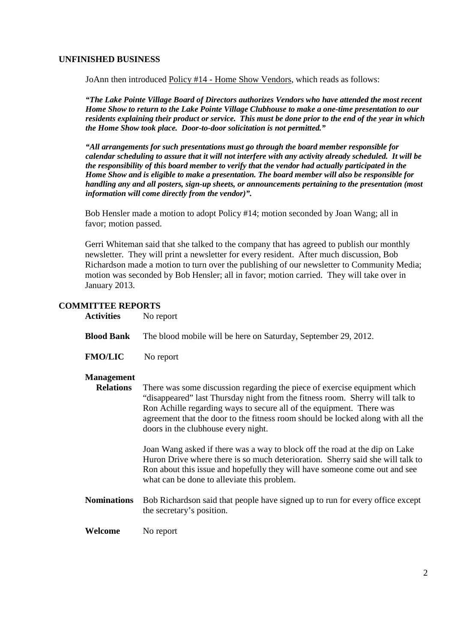# **UNFINISHED BUSINESS**

JoAnn then introduced Policy #14 - Home Show Vendors, which reads as follows:

 *"The Lake Pointe Village Board of Directors authorizes Vendors who have attended the most recent Home Show to return to the Lake Pointe Village Clubhouse to make a one-time presentation to our residents explaining their product or service. This must be done prior to the end of the year in which the Home Show took place. Door-to-door solicitation is not permitted."* 

 *"All arrangements for such presentations must go through the board member responsible for calendar scheduling to assure that it will not interfere with any activity already scheduled. It will be the responsibility of this board member to verify that the vendor had actually participated in the Home Show and is eligible to make a presentation. The board member will also be responsible for handling any and all posters, sign-up sheets, or announcements pertaining to the presentation (most information will come directly from the vendor)".* 

 Bob Hensler made a motion to adopt Policy #14; motion seconded by Joan Wang; all in favor; motion passed.

 Gerri Whiteman said that she talked to the company that has agreed to publish our monthly newsletter. They will print a newsletter for every resident. After much discussion, Bob Richardson made a motion to turn over the publishing of our newsletter to Community Media; motion was seconded by Bob Hensler; all in favor; motion carried. They will take over in January 2013.

# **COMMITTEE REPORTS**

| <b>Activities</b> | No report |
|-------------------|-----------|
|-------------------|-----------|

**Blood Bank** The blood mobile will be here on Saturday, September 29, 2012.

**FMO/LIC** No report

#### **Management**

 **Relations** There was some discussion regarding the piece of exercise equipment which "disappeared" last Thursday night from the fitness room. Sherry will talk to Ron Achille regarding ways to secure all of the equipment. There was agreement that the door to the fitness room should be locked along with all the doors in the clubhouse every night.

> Joan Wang asked if there was a way to block off the road at the dip on Lake Huron Drive where there is so much deterioration. Sherry said she will talk to Ron about this issue and hopefully they will have someone come out and see what can be done to alleviate this problem.

**Nominations** Bob Richardson said that people have signed up to run for every office except the secretary's position.

**Welcome** No report